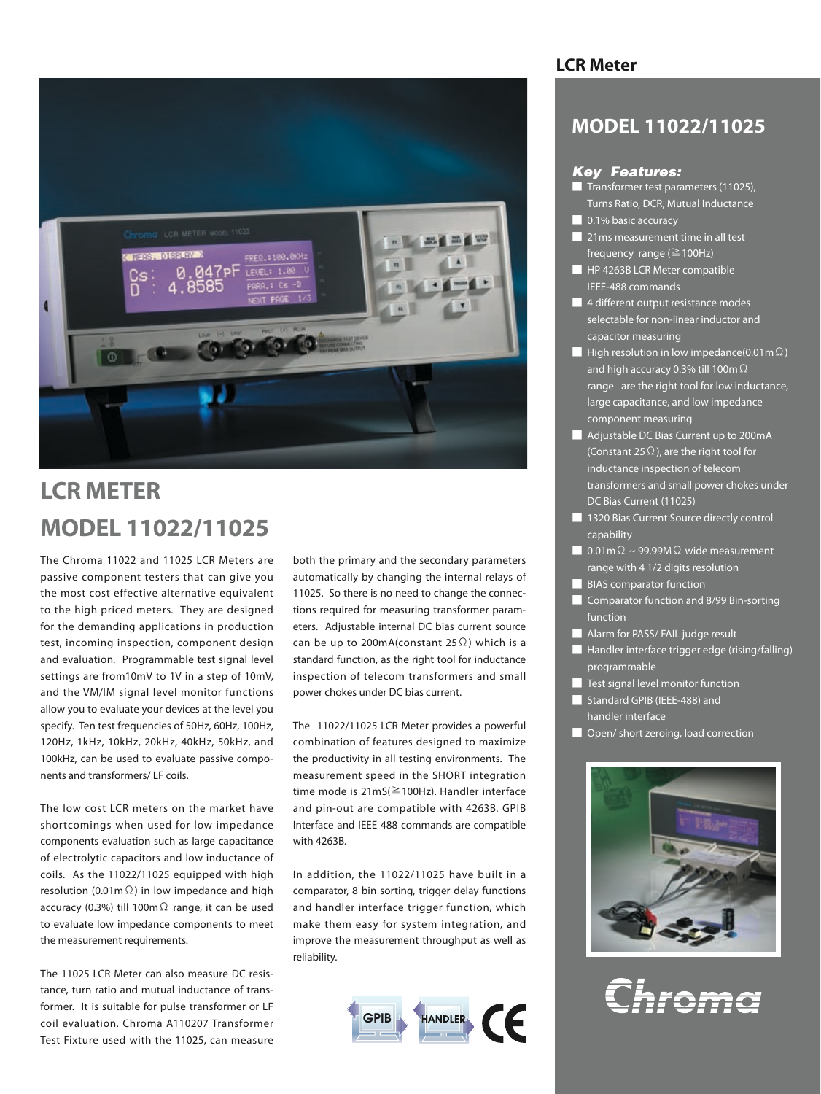

# **LCR METER MODEL 11022/11025**

The Chroma 11022 and 11025 LCR Meters are passive component testers that can give you the most cost effective alternative equivalent to the high priced meters. They are designed for the demanding applications in production test, incoming inspection, component design and evaluation. Programmable test signal level settings are from10mV to 1V in a step of 10mV, and the VM/IM signal level monitor functions allow you to evaluate your devices at the level you specify. Ten test frequencies of 50Hz, 60Hz, 100Hz, 120Hz, 1kHz, 10kHz, 20kHz, 40kHz, 50kHz, and 100kHz, can be used to evaluate passive components and transformers/ LF coils.

The low cost LCR meters on the market have shortcomings when used for low impedance components evaluation such as large capacitance of electrolytic capacitors and low inductance of coils. As the 11022/11025 equipped with high resolution (0.01m $\Omega$ ) in low impedance and high accuracy (0.3%) till 100mΩ range, it can be used to evaluate low impedance components to meet the measurement requirements.

The 11025 LCR Meter can also measure DC resistance, turn ratio and mutual inductance of transformer. It is suitable for pulse transformer or LF coil evaluation. Chroma A110207 Transformer Test Fixture used with the 11025, can measure

both the primary and the secondary parameters automatically by changing the internal relays of 11025. So there is no need to change the connections required for measuring transformer parameters. Adjustable internal DC bias current source can be up to 200mA(constant 25 $\Omega$ ) which is a standard function, as the right tool for inductance inspection of telecom transformers and small power chokes under DC bias current.

The 11022/11025 LCR Meter provides a powerful combination of features designed to maximize the productivity in all testing environments. The measurement speed in the SHORT integration time mode is 21mS(≧100Hz). Handler interface and pin-out are compatible with 4263B. GPIB Interface and IEEE 488 commands are compatible with 4263B.

In addition, the 11022/11025 have built in a comparator, 8 bin sorting, trigger delay functions and handler interface trigger function, which make them easy for system integration, and improve the measurement throughput as well as reliability.



## **LCR Meter**

## **MODEL 11022/11025**

## *Key Features:*

- Transformer test parameters (11025), Turns Ratio, DCR, Mutual Inductance
- 0.1% basic accuracy
- 21ms measurement time in all test frequency range ( $\geq 100$ Hz)
- HP 4263B LCR Meter compatible IEEE-488 commands
- 4 different output resistance modes selectable for non-linear inductor and capacitor measuring
- $\blacksquare$  High resolution in low impedance(0.01m Ω) and high accuracy 0.3% till 100mΩ range are the right tool for low inductance, large capacitance, and low impedance component measuring
- Adjustable DC Bias Current up to 200mA (Constant 25 $\Omega$ ), are the right tool for inductance inspection of telecom transformers and small power chokes under DC Bias Current (11025)
- 1320 Bias Current Source directly control capability
- 0.01m $Ω \sim$  99.99M $Ω$  wide measurement range with 4 1/2 digits resolution
- **BIAS** comparator function
- Comparator function and 8/99 Bin-sorting function
- Alarm for PASS/ FAIL judge result
- Handler interface trigger edge (rising/falling) programmable
- Test signal level monitor function
- Standard GPIB (IEEE-488) and handler interface
- Open/ short zeroing, load correction